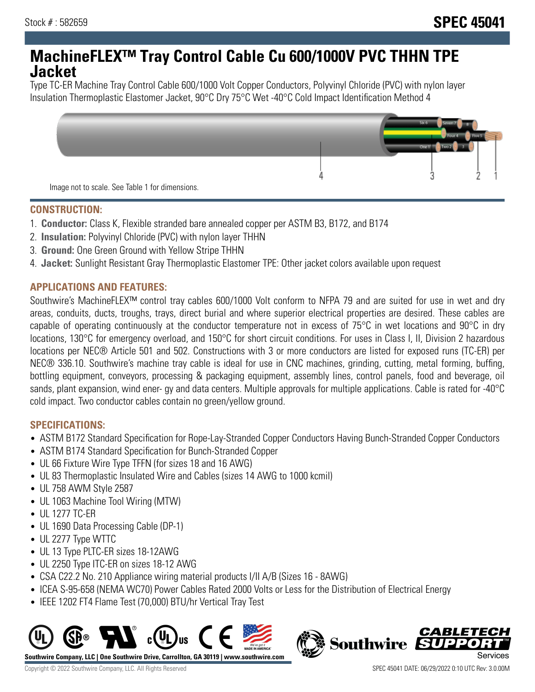## **MachineFLEX™ Tray Control Cable Cu 600/1000V PVC THHN TPE Jacket**

Type TC-ER Machine Tray Control Cable 600/1000 Volt Copper Conductors, Polyvinyl Chloride (PVC) with nylon layer Insulation Thermoplastic Elastomer Jacket, 90°C Dry 75°C Wet -40°C Cold Impact Identification Method 4



#### **CONSTRUCTION:**

- 1. **Conductor:** Class K, Flexible stranded bare annealed copper per ASTM B3, B172, and B174
- 2. **Insulation:** Polyvinyl Chloride (PVC) with nylon layer THHN
- 3. **Ground:** One Green Ground with Yellow Stripe THHN
- 4. **Jacket:** Sunlight Resistant Gray Thermoplastic Elastomer TPE: Other jacket colors available upon request

### **APPLICATIONS AND FEATURES:**

Southwire's MachineFLEX™ control tray cables 600/1000 Volt conform to NFPA 79 and are suited for use in wet and dry areas, conduits, ducts, troughs, trays, direct burial and where superior electrical properties are desired. These cables are capable of operating continuously at the conductor temperature not in excess of 75°C in wet locations and 90°C in dry locations, 130°C for emergency overload, and 150°C for short circuit conditions. For uses in Class I, II, Division 2 hazardous locations per NEC® Article 501 and 502. Constructions with 3 or more conductors are listed for exposed runs (TC-ER) per NEC® 336.10. Southwire's machine tray cable is ideal for use in CNC machines, grinding, cutting, metal forming, buffing, bottling equipment, conveyors, processing & packaging equipment, assembly lines, control panels, food and beverage, oil sands, plant expansion, wind ener- gy and data centers. Multiple approvals for multiple applications. Cable is rated for -40°C cold impact. Two conductor cables contain no green/yellow ground.

### **SPECIFICATIONS:**

- ASTM B172 Standard Specification for Rope-Lay-Stranded Copper Conductors Having Bunch-Stranded Copper Conductors
- ASTM B174 Standard Specification for Bunch-Stranded Copper
- UL 66 Fixture Wire Type TFFN (for sizes 18 and 16 AWG)
- UL 83 Thermoplastic Insulated Wire and Cables (sizes 14 AWG to 1000 kcmil)
- UL 758 AWM Style 2587
- UL 1063 Machine Tool Wiring (MTW)
- UL 1277 TC-ER
- UL 1690 Data Processing Cable (DP-1)
- UL 2277 Type WTTC
- UL 13 Type PLTC-ER sizes 18-12AWG
- UL 2250 Type ITC-ER on sizes 18-12 AWG
- CSA C22.2 No. 210 Appliance wiring material products I/II A/B (Sizes 16 8AWG)
- ICEA S-95-658 (NEMA WC70) Power Cables Rated 2000 Volts or Less for the Distribution of Electrical Energy
- IEEE 1202 FT4 Flame Test (70,000) BTU/hr Vertical Tray Test



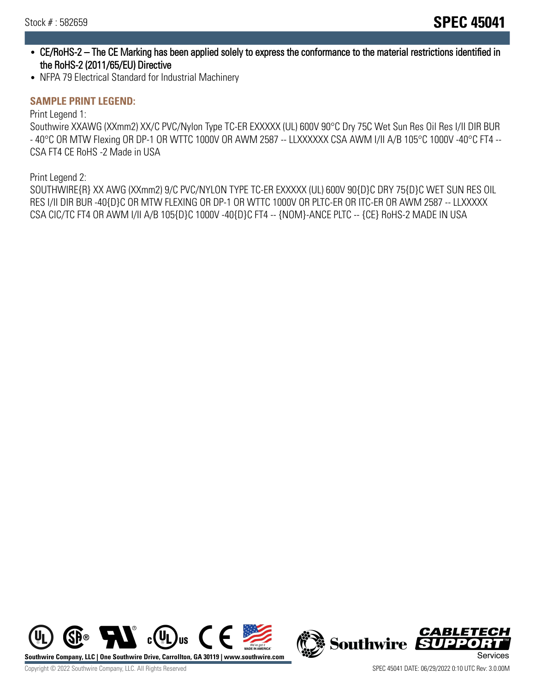- CE/RoHS-2 The CE Marking has been applied solely to express the conformance to the material restrictions identified in the RoHS-2 (2011/65/EU) Directive
- NFPA 79 Electrical Standard for Industrial Machinery

#### **SAMPLE PRINT LEGEND:**

Print Legend 1:

Southwire XXAWG (XXmm2) XX/C PVC/Nylon Type TC-ER EXXXXX (UL) 600V 90°C Dry 75C Wet Sun Res Oil Res I/II DIR BUR - 40°C OR MTW Flexing OR DP-1 OR WTTC 1000V OR AWM 2587 -- LLXXXXXX CSA AWM I/II A/B 105°C 1000V -40°C FT4 -- CSA FT4 CE RoHS -2 Made in USA

Print Legend 2:

SOUTHWIRE{R} XX AWG (XXmm2) 9/C PVC/NYLON TYPE TC-ER EXXXXX (UL) 600V 90{D}C DRY 75{D}C WET SUN RES OIL RES I/II DIR BUR -40{D}C OR MTW FLEXING OR DP-1 OR WTTC 1000V OR PLTC-ER OR ITC-ER OR AWM 2587 -- LLXXXXX CSA CIC/TC FT4 OR AWM I/II A/B 105{D}C 1000V -40{D}C FT4 -- {NOM}-ANCE PLTC -- {CE} RoHS-2 MADE IN USA